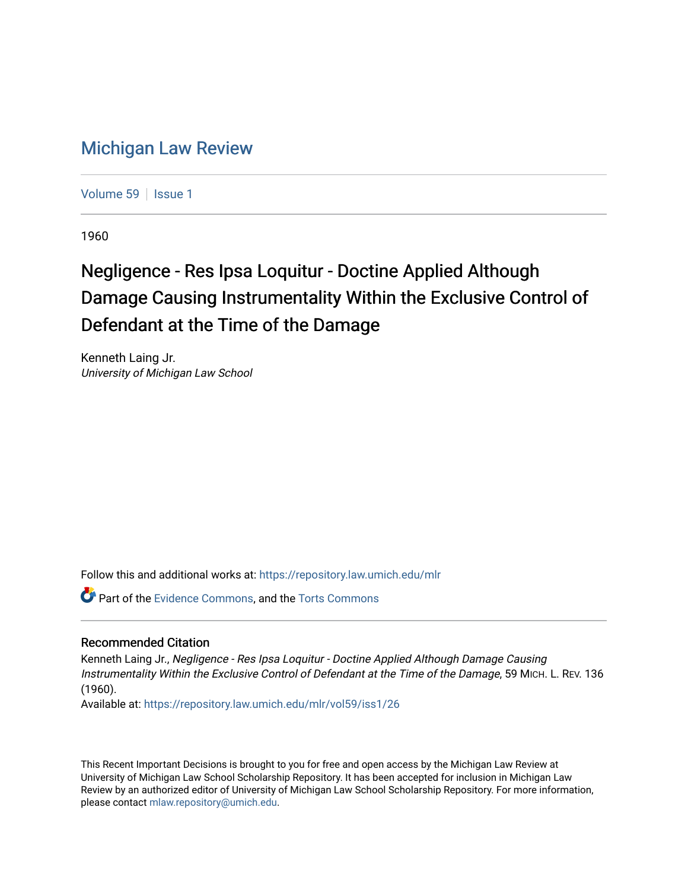## [Michigan Law Review](https://repository.law.umich.edu/mlr)

[Volume 59](https://repository.law.umich.edu/mlr/vol59) | [Issue 1](https://repository.law.umich.edu/mlr/vol59/iss1)

1960

## Negligence - Res Ipsa Loquitur - Doctine Applied Although Damage Causing Instrumentality Within the Exclusive Control of Defendant at the Time of the Damage

Kenneth Laing Jr. University of Michigan Law School

Follow this and additional works at: [https://repository.law.umich.edu/mlr](https://repository.law.umich.edu/mlr?utm_source=repository.law.umich.edu%2Fmlr%2Fvol59%2Fiss1%2F26&utm_medium=PDF&utm_campaign=PDFCoverPages) 

**P** Part of the [Evidence Commons,](http://network.bepress.com/hgg/discipline/601?utm_source=repository.law.umich.edu%2Fmlr%2Fvol59%2Fiss1%2F26&utm_medium=PDF&utm_campaign=PDFCoverPages) and the Torts Commons

## Recommended Citation

Kenneth Laing Jr., Negligence - Res Ipsa Loquitur - Doctine Applied Although Damage Causing Instrumentality Within the Exclusive Control of Defendant at the Time of the Damage, 59 MICH. L. REV. 136 (1960).

Available at: [https://repository.law.umich.edu/mlr/vol59/iss1/26](https://repository.law.umich.edu/mlr/vol59/iss1/26?utm_source=repository.law.umich.edu%2Fmlr%2Fvol59%2Fiss1%2F26&utm_medium=PDF&utm_campaign=PDFCoverPages) 

This Recent Important Decisions is brought to you for free and open access by the Michigan Law Review at University of Michigan Law School Scholarship Repository. It has been accepted for inclusion in Michigan Law Review by an authorized editor of University of Michigan Law School Scholarship Repository. For more information, please contact [mlaw.repository@umich.edu.](mailto:mlaw.repository@umich.edu)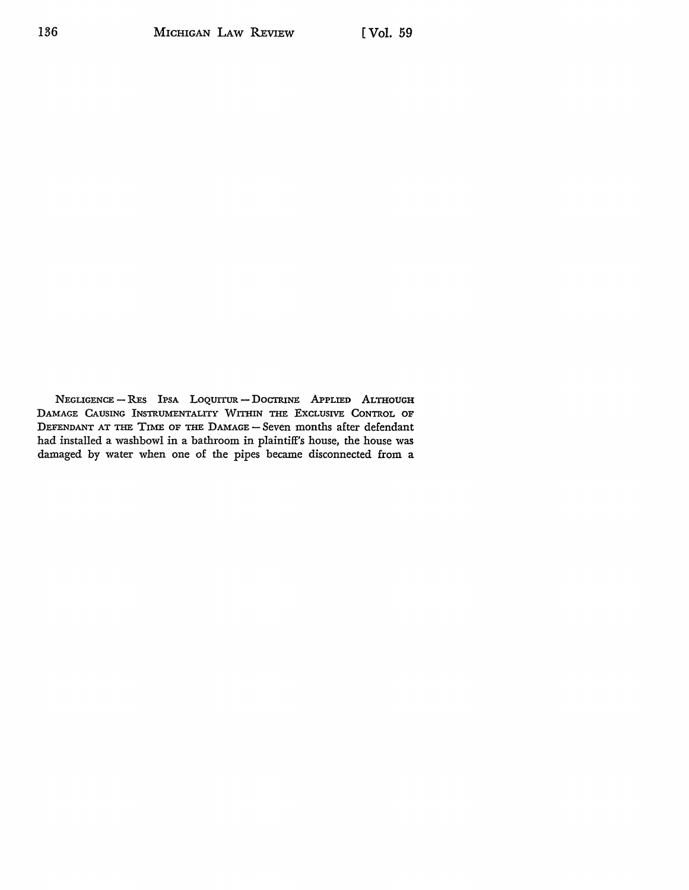NEGLIGENCE - RES IPSA LOQUITUR - DOCTRINE APPLIED ALTHOUGH DAMAGE CAUSING INSTRUMENTALITY WITHIN THE EXCLUSIVE CONTROL OF DEFENDANT AT THE TIME OF THE DAMAGE - Seven months after defendant had installed a washbowl in a bathroom in plaintiff's house, the house was damaged by water when one of the pipes became disconnected from a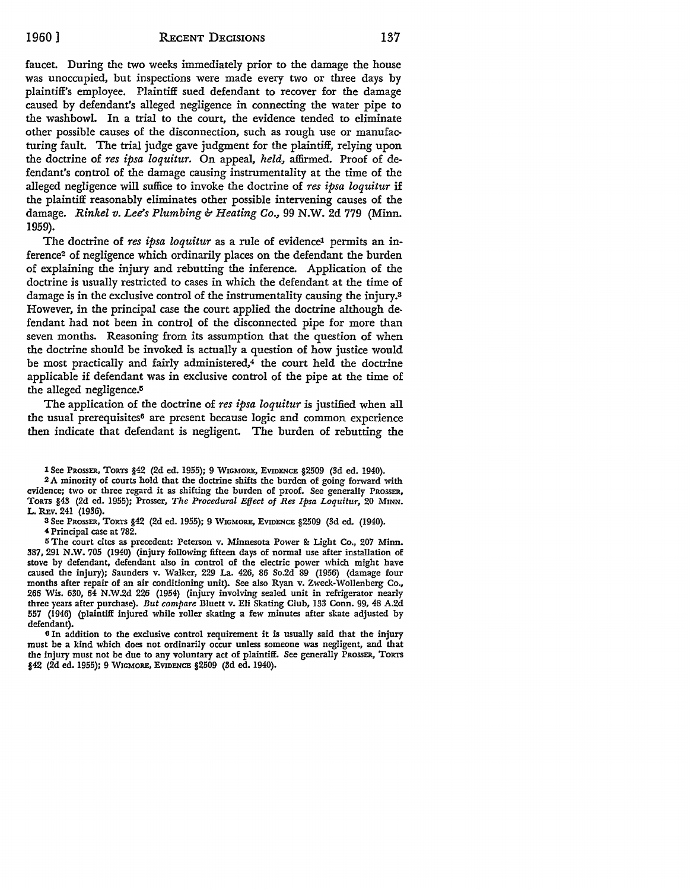faucet. During the two weeks immediately prior to the damage the house was unoccupied, but inspections were made every two or three days by plaintiff's employee. Plaintiff sued defendant to recover for the damage caused by defendant's alleged negligence in connecting the water pipe to the washbowl. In a trial to the court, the evidence tended to eliminate other possible causes of the disconnection, such as rough use or manufacturing fault. The trial judge gave judgment for the plaintiff, relying upon the doctrine of *res ipsa loquitur.* On appeal, *held,* affirmed. Proof of defendant's control of the damage causing instrumentality at the time of the alleged negligence will suffice to invoke the doctrine of *res ipsa loquitur* if the plaintiff reasonably eliminates other possible intervening causes of the damage. *Rinkel v. Lee's Plumbing & Heating Co.,* 99 N.W. 2d 779 (Minn. 1959).

The doctrine of *res ipsa loquitur* as a rule of evidence<sup>1</sup> permits an inference2 of negligence which ordinarily places on the defendant the burden of explaining the injury and rebutting the inference. Application of the doctrine is usually restricted to cases in which the defendant at the time of damage is in the exclusive control of the instrumentality causing the injury.<sup>3</sup> However, in the principal case the court applied the doctrine although defendant had not been in control of the disconnected pipe for more than seven months. Reasoning from its assumption that the question of when the doctrine should be invoked is actually a question of how justice would be most practically and fairly administered,<sup>4</sup> the court held the doctrine applicable if defendant was in exclusive control of the pipe at the time of the alleged negligence.<sup>5</sup>

The application of the doctrine of *res ipsa loquitur* is justified when all the usual prerequisites<sup>6</sup> are present because logic and common experience then indicate that defendant is negligent. The burden of rebutting the

2 A minority of courts hold that the doctrine shifts the burden of going forward with evidence; two or three regard it as shifting the burden of proof. See generally PROSSER, TORTS §43 (2d ed. 1955); Prosser, *The Procedural Effect of Res Ipsa Loquitur,* 20 MINN. L. REv. 241 (1936).

3 See PROSSER, TORTS §42 (2d ed. 1955); 9 WIGMORE, EVIDENCE §2509 (3d ed. (1940). <sup>4</sup>Principal case at 782.

<sup>5</sup>The court cites as precedent: Peterson v. Minnesota Power &: Light Co., 207 Minn. 387, 291 N.W. 705 (1940) (injury following fifteen days of normal use after installation of stove by defendant, defendant also in control of the electric power which might have caused the injury); Saunders v. Walker, 229 La. 426, 86 So.2d 89 (1956) (damage four months after repair of an air conditioning unit). See also Ryan v. Zweck-Wollenberg Co., 266 Wis. 630, 64 N.W.2d 226 (1954) (injury involving sealed unit in refrigerator nearly three years after purchase). *But compare* Bluett v. Eli Skating Club, 133 Conn. 99, 48 A.2d 557 (1946) (plaintiff injured while roller skating a few minutes after skate adjusted by defendant).

<sup>6</sup>In addition to the exclusive control requirement it is usually said that the injury must be a kind which does not ordinarily occur unless someone was negligent, and that the injury must not be due to any voluntary act of plaintiff. See generally PROSSER, TORTS §42 (2d ed. 1955); 9 WIGMORE, EVIDENCE §2509 (3d ed. 1940).

l See PRossER, TORTS §42 (2d ed. 1955); 9 WIGMORE, EVIDENCE §2509 (3d ed. 1940).